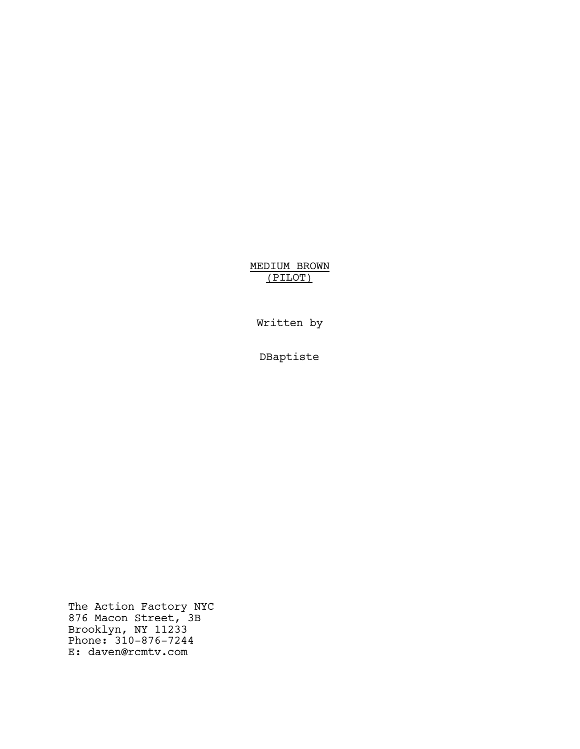MEDIUM BROWN (PILOT)

Written by

DBaptiste

The Action Factory NYC 876 Macon Street, 3B Brooklyn, NY 11233 Phone: 310-876-7244 E: daven@rcmtv.com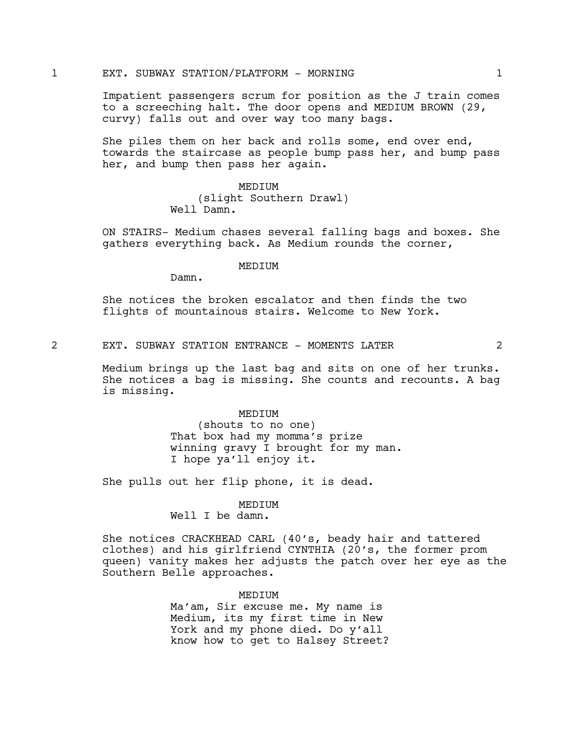### 1 EXT. SUBWAY STATION/PLATFORM - MORNING 1

Impatient passengers scrum for position as the J train comes to a screeching halt. The door opens and MEDIUM BROWN (29, curvy) falls out and over way too many bags.

She piles them on her back and rolls some, end over end, towards the staircase as people bump pass her, and bump pass her, and bump then pass her again.

#### MEDIUM

(slight Southern Drawl) Well Damn.

ON STAIRS- Medium chases several falling bags and boxes. She gathers everything back. As Medium rounds the corner,

#### MEDIUM

Damn.

She notices the broken escalator and then finds the two flights of mountainous stairs. Welcome to New York.

2 EXT. SUBWAY STATION ENTRANCE - MOMENTS LATER 2

Medium brings up the last bag and sits on one of her trunks. She notices a bag is missing. She counts and recounts. A bag is missing.

#### MEDIUM

(shouts to no one) That box had my momma's prize winning gravy I brought for my man. I hope ya'll enjoy it.

She pulls out her flip phone, it is dead.

# MEDIUM

Well I be damn.

She notices CRACKHEAD CARL (40's, beady hair and tattered clothes) and his girlfriend CYNTHIA (20's, the former prom queen) vanity makes her adjusts the patch over her eye as the Southern Belle approaches.

> MEDIUM Ma'am, Sir excuse me. My name is Medium, its my first time in New York and my phone died. Do y'all know how to get to Halsey Street?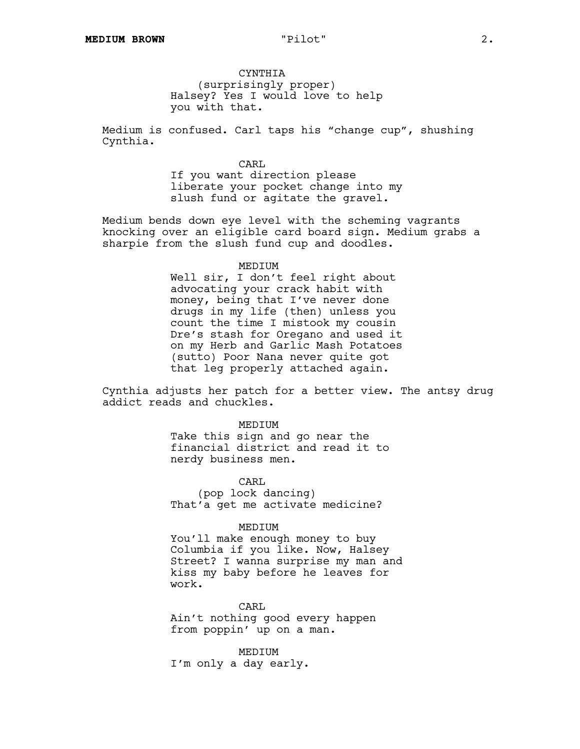**CYNTHIA** (surprisingly proper) Halsey? Yes I would love to help you with that.

Medium is confused. Carl taps his "change cup", shushing Cynthia.

> CARL If you want direction please liberate your pocket change into my slush fund or agitate the gravel.

Medium bends down eye level with the scheming vagrants knocking over an eligible card board sign. Medium grabs a sharpie from the slush fund cup and doodles.

#### MEDIUM

Well sir, I don't feel right about advocating your crack habit with money, being that I've never done drugs in my life (then) unless you count the time I mistook my cousin Dre's stash for Oregano and used it on my Herb and Garlic Mash Potatoes (sutto) Poor Nana never quite got that leg properly attached again.

Cynthia adjusts her patch for a better view. The antsy drug addict reads and chuckles.

> MEDIUM Take this sign and go near the financial district and read it to nerdy business men.

CARL (pop lock dancing) That'a get me activate medicine?

#### MEDIUM

You'll make enough money to buy Columbia if you like. Now, Halsey Street? I wanna surprise my man and kiss my baby before he leaves for work.

CARL Ain't nothing good every happen from poppin' up on a man.

MEDIUM I'm only a day early.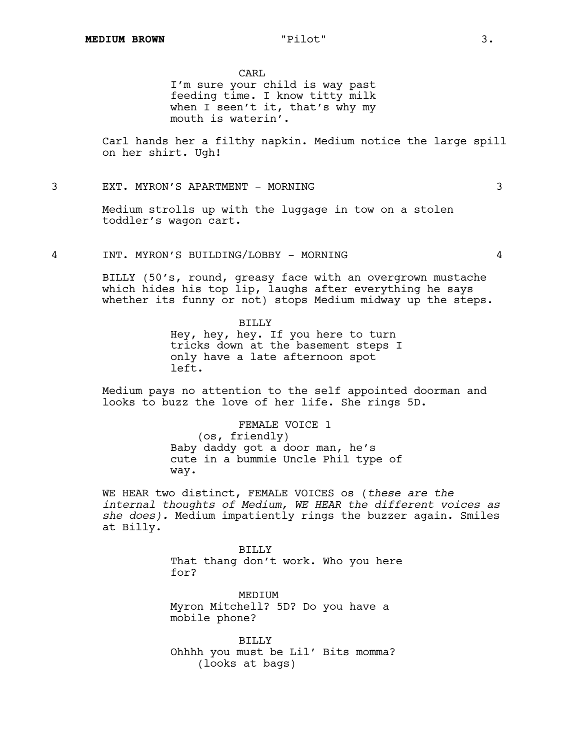CARL

I'm sure your child is way past feeding time. I know titty milk when I seen't it, that's why my mouth is waterin'.

Carl hands her a filthy napkin. Medium notice the large spill on her shirt. Ugh!

# 3 EXT. MYRON'S APARTMENT - MORNING 3

Medium strolls up with the luggage in tow on a stolen toddler's wagon cart.

4 INT. MYRON'S BUILDING/LOBBY - MORNING 4

BILLY (50's, round, greasy face with an overgrown mustache which hides his top lip, laughs after everything he says whether its funny or not) stops Medium midway up the steps.

> BILLY Hey, hey, hey. If you here to turn tricks down at the basement steps I only have a late afternoon spot left.

Medium pays no attention to the self appointed doorman and looks to buzz the love of her life. She rings 5D.

> FEMALE VOICE 1 (os, friendly) Baby daddy got a door man, he's cute in a bummie Uncle Phil type of way.

WE HEAR two distinct, FEMALE VOICES os (*these are the internal thoughts of Medium, WE HEAR the different voices as she does).* Medium impatiently rings the buzzer again. Smiles at Billy.

> BILLY That thang don't work. Who you here for?

MEDIUM Myron Mitchell? 5D? Do you have a mobile phone?

BILLY Ohhhh you must be Lil' Bits momma? (looks at bags)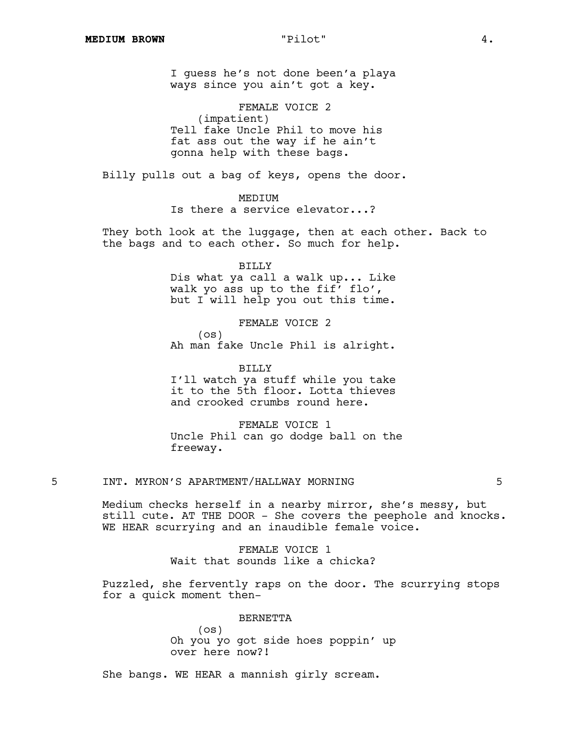I guess he's not done been'a playa ways since you ain't got a key.

FEMALE VOICE 2 (impatient) Tell fake Uncle Phil to move his fat ass out the way if he ain't gonna help with these bags.

Billy pulls out a bag of keys, opens the door.

# MEDIUM

Is there a service elevator...?

They both look at the luggage, then at each other. Back to the bags and to each other. So much for help.

> BILLY Dis what ya call a walk up... Like walk yo ass up to the fif' flo', but I will help you out this time.

> FEMALE VOICE 2  $($ os $)$ Ah man fake Uncle Phil is alright.

BILLY I'll watch ya stuff while you take it to the 5th floor. Lotta thieves and crooked crumbs round here.

FEMALE VOICE 1 Uncle Phil can go dodge ball on the freeway.

# 5 INT. MYRON'S APARTMENT/HALLWAY MORNING 5

Medium checks herself in a nearby mirror, she's messy, but still cute. AT THE DOOR - She covers the peephole and knocks. WE HEAR scurrying and an inaudible female voice.

> FEMALE VOICE 1 Wait that sounds like a chicka?

Puzzled, she fervently raps on the door. The scurrying stops for a quick moment then–

> BERNETTA (os) Oh you yo got side hoes poppin' up over here now?!

She bangs. WE HEAR a mannish girly scream.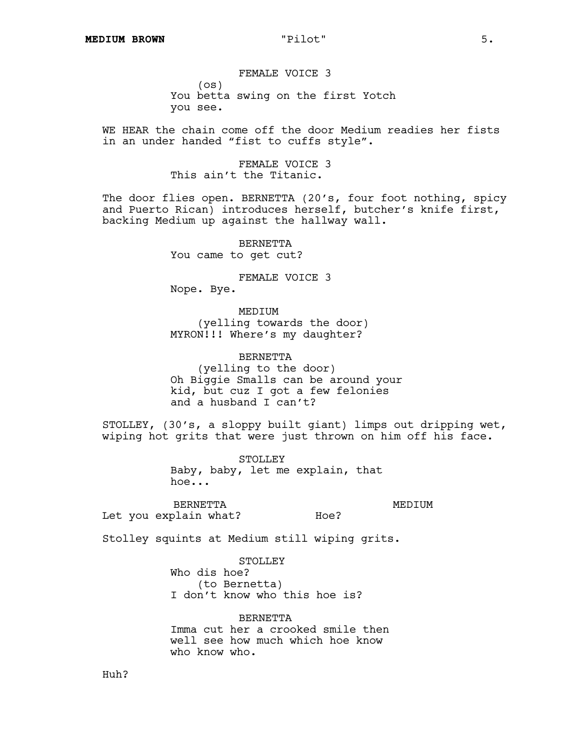FEMALE VOICE 3  $($ os $)$ You betta swing on the first Yotch you see.

WE HEAR the chain come off the door Medium readies her fists in an under handed "fist to cuffs style".

> FEMALE VOICE 3 This ain't the Titanic.

The door flies open. BERNETTA (20's, four foot nothing, spicy and Puerto Rican) introduces herself, butcher's knife first, backing Medium up against the hallway wall.

> BERNETTA You came to get cut?

FEMALE VOICE 3 Nope. Bye.

MEDIUM (yelling towards the door) MYRON!!! Where's my daughter?

BERNETTA (yelling to the door) Oh Biggie Smalls can be around your kid, but cuz I got a few felonies and a husband I can't?

STOLLEY, (30's, a sloppy built giant) limps out dripping wet, wiping hot grits that were just thrown on him off his face.

Hoe?

STOLLEY Baby, baby, let me explain, that hoe...

BERNETTA Let you explain what? MEDIUM

Stolley squints at Medium still wiping grits.

STOLLEY Who dis hoe? (to Bernetta) I don't know who this hoe is?

BERNETTA Imma cut her a crooked smile then well see how much which hoe know who know who.

Huh?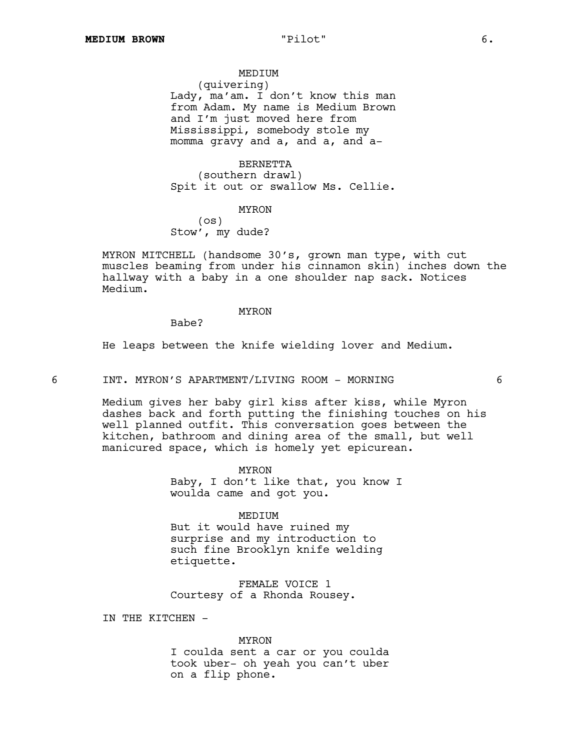MEDIUM (quivering) Lady, ma'am. I don't know this man from Adam. My name is Medium Brown and I'm just moved here from Mississippi, somebody stole my momma gravy and a, and a, and a-

BERNETTA (southern drawl) Spit it out or swallow Ms. Cellie.

#### MYRON

(os) Stow', my dude?

MYRON MITCHELL (handsome 30's, grown man type, with cut muscles beaming from under his cinnamon skin) inches down the hallway with a baby in a one shoulder nap sack. Notices Medium.

#### MYRON

Babe?

He leaps between the knife wielding lover and Medium.

6 INT. MYRON'S APARTMENT/LIVING ROOM - MORNING 6

Medium gives her baby girl kiss after kiss, while Myron dashes back and forth putting the finishing touches on his well planned outfit. This conversation goes between the kitchen, bathroom and dining area of the small, but well manicured space, which is homely yet epicurean.

MYRON

Baby, I don't like that, you know I woulda came and got you.

MEDIUM

But it would have ruined my surprise and my introduction to such fine Brooklyn knife welding etiquette.

FEMALE VOICE 1 Courtesy of a Rhonda Rousey.

IN THE KITCHEN -

MYRON

I coulda sent a car or you coulda took uber- oh yeah you can't uber on a flip phone.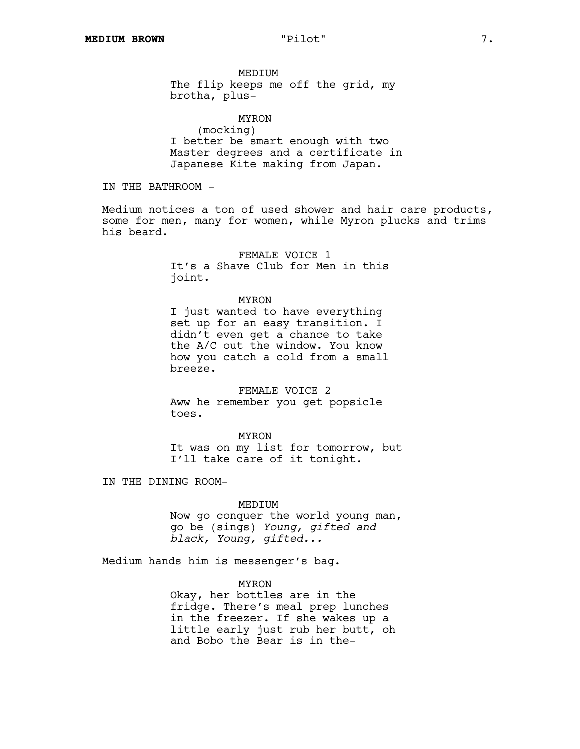MEDIUM The flip keeps me off the grid, my brotha, plus-

MYRON (mocking) I better be smart enough with two Master degrees and a certificate in Japanese Kite making from Japan.

IN THE BATHROOM -

Medium notices a ton of used shower and hair care products, some for men, many for women, while Myron plucks and trims his beard.

> FEMALE VOICE 1 It's a Shave Club for Men in this joint.

#### MYRON

I just wanted to have everything set up for an easy transition. I didn't even get a chance to take the A/C out the window. You know how you catch a cold from a small breeze.

FEMALE VOICE 2 Aww he remember you get popsicle toes.

MYRON It was on my list for tomorrow, but I'll take care of it tonight.

IN THE DINING ROOM-

#### MEDIUM

Now go conquer the world young man, go be (sings) *Young, gifted and black, Young, gifted...*

Medium hands him is messenger's bag.

MYRON

Okay, her bottles are in the fridge. There's meal prep lunches in the freezer. If she wakes up a little early just rub her butt, oh and Bobo the Bear is in the–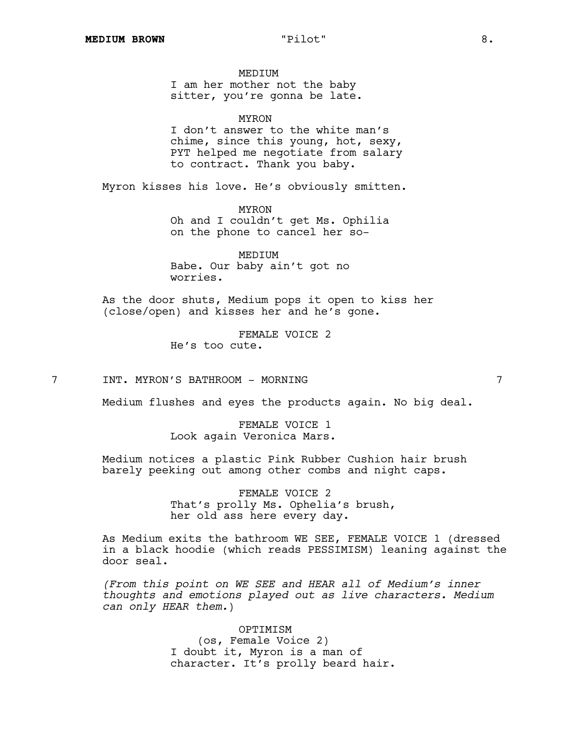MEDIUM

I am her mother not the baby sitter, you're gonna be late.

MYRON

I don't answer to the white man's chime, since this young, hot, sexy, PYT helped me negotiate from salary to contract. Thank you baby.

Myron kisses his love. He's obviously smitten.

MYRON Oh and I couldn't get Ms. Ophilia on the phone to cancel her so-

MEDIUM Babe. Our baby ain't got no worries.

As the door shuts, Medium pops it open to kiss her (close/open) and kisses her and he's gone.

> FEMALE VOICE 2 He's too cute.

7 INT. MYRON'S BATHROOM - MORNING 7

Medium flushes and eyes the products again. No big deal.

FEMALE VOICE 1 Look again Veronica Mars.

Medium notices a plastic Pink Rubber Cushion hair brush barely peeking out among other combs and night caps.

> FEMALE VOICE 2 That's prolly Ms. Ophelia's brush, her old ass here every day.

As Medium exits the bathroom WE SEE, FEMALE VOICE 1 (dressed in a black hoodie (which reads PESSIMISM) leaning against the door seal.

*(From this point on WE SEE and HEAR all of Medium's inner thoughts and emotions played out as live characters. Medium can only HEAR them.*)

> OPTIMISM (os, Female Voice 2) I doubt it, Myron is a man of character. It's prolly beard hair.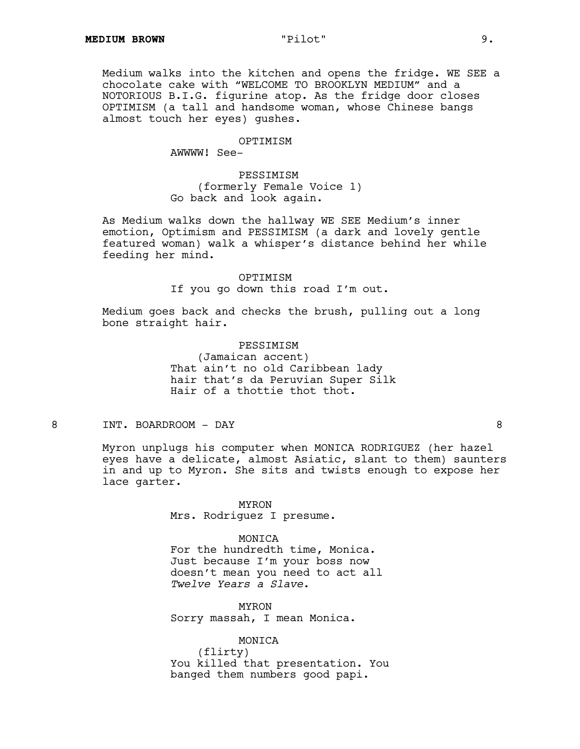Medium walks into the kitchen and opens the fridge. WE SEE a chocolate cake with "WELCOME TO BROOKLYN MEDIUM" and a NOTORIOUS B.I.G. figurine atop. As the fridge door closes OPTIMISM (a tall and handsome woman, whose Chinese bangs almost touch her eyes) gushes.

# OPTIMISM

AWWWW! See-

PESSIMISM (formerly Female Voice 1) Go back and look again.

As Medium walks down the hallway WE SEE Medium's inner emotion, Optimism and PESSIMISM (a dark and lovely gentle featured woman) walk a whisper's distance behind her while feeding her mind.

### OPTIMISM

If you go down this road I'm out.

Medium goes back and checks the brush, pulling out a long bone straight hair.

> PESSIMISM (Jamaican accent) That ain't no old Caribbean lady hair that's da Peruvian Super Silk Hair of a thottie thot thot.

8 INT. BOARDROOM - DAY 8

Myron unplugs his computer when MONICA RODRIGUEZ (her hazel eyes have a delicate, almost Asiatic, slant to them) saunters in and up to Myron. She sits and twists enough to expose her lace garter.

> MYRON Mrs. Rodriguez I presume.

#### MONICA

For the hundredth time, Monica. Just because I'm your boss now doesn't mean you need to act all *Twelve Years a Slave*.

MYRON Sorry massah, I mean Monica.

MONICA (flirty) You killed that presentation. You banged them numbers good papi.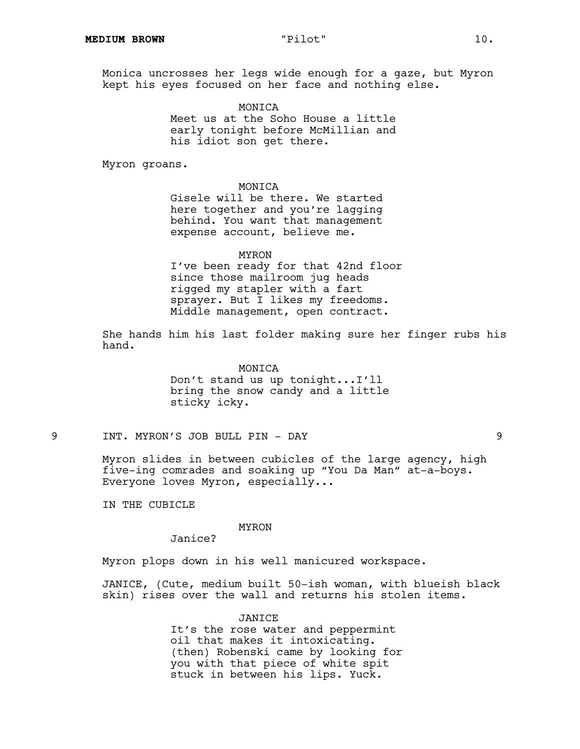Monica uncrosses her legs wide enough for a gaze, but Myron kept his eyes focused on her face and nothing else.

> MONICA Meet us at the Soho House a little early tonight before McMillian and his idiot son get there.

Myron groans.

MONICA

Gisele will be there. We started here together and you're lagging behind. You want that management expense account, believe me.

MYRON

I've been ready for that 42nd floor since those mailroom jug heads rigged my stapler with a fart sprayer. But I likes my freedoms. Middle management, open contract.

She hands him his last folder making sure her finger rubs his hand.

#### MONICA

Don't stand us up tonight...I'll bring the snow candy and a little sticky icky.

9 INT. MYRON'S JOB BULL PIN - DAY 9

Myron slides in between cubicles of the large agency, high five-ing comrades and soaking up "You Da Man" at-a-boys. Everyone loves Myron, especially...

IN THE CUBICLE

### MYRON

Janice?

Myron plops down in his well manicured workspace.

JANICE, (Cute, medium built 50-ish woman, with blueish black skin) rises over the wall and returns his stolen items.

> JANICE It's the rose water and peppermint oil that makes it intoxicating. (then) Robenski came by looking for you with that piece of white spit stuck in between his lips. Yuck.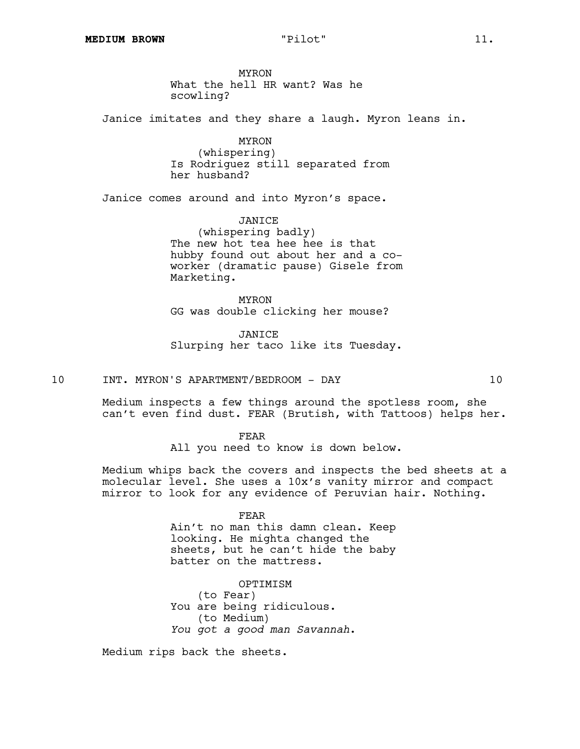MYRON What the hell HR want? Was he scowling?

Janice imitates and they share a laugh. Myron leans in.

MYRON (whispering) Is Rodriguez still separated from her husband?

Janice comes around and into Myron's space.

JANICE (whispering badly) The new hot tea hee hee is that hubby found out about her and a coworker (dramatic pause) Gisele from Marketing.

MYRON GG was double clicking her mouse?

JANICE Slurping her taco like its Tuesday.

10 INT. MYRON'S APARTMENT/BEDROOM - DAY 10

Medium inspects a few things around the spotless room, she can't even find dust. FEAR (Brutish, with Tattoos) helps her.

FEAR

All you need to know is down below.

Medium whips back the covers and inspects the bed sheets at a molecular level. She uses a 10x's vanity mirror and compact mirror to look for any evidence of Peruvian hair. Nothing.

#### FEAR

Ain't no man this damn clean. Keep looking. He mighta changed the sheets, but he can't hide the baby batter on the mattress.

OPTIMISM (to Fear) You are being ridiculous. (to Medium) *You got a good man Savannah*.

Medium rips back the sheets.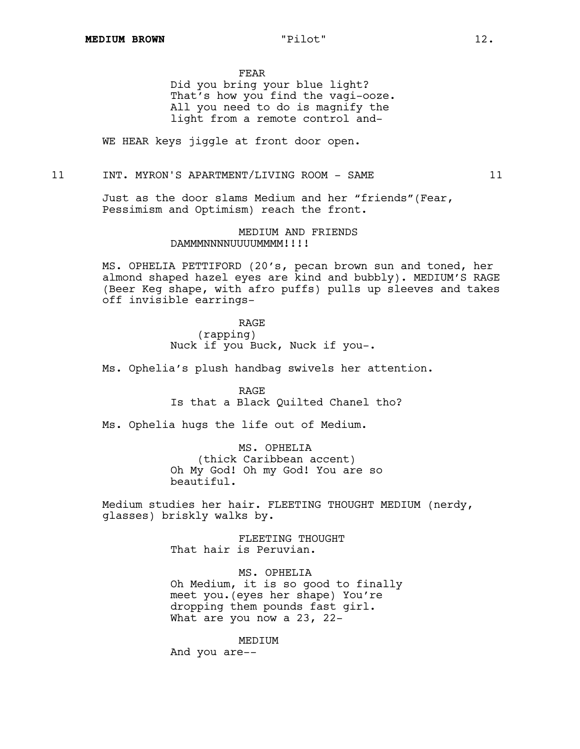FEAR

Did you bring your blue light? That's how you find the vagi-ooze. All you need to do is magnify the light from a remote control and-

WE HEAR keys jiggle at front door open.

#### 11 INT. MYRON'S APARTMENT/LIVING ROOM - SAME 11

Just as the door slams Medium and her "friends"(Fear, Pessimism and Optimism) reach the front.

> MEDIUM AND FRIENDS DAMMMNNNNUUUUMMMM!!!!

MS. OPHELIA PETTIFORD (20's, pecan brown sun and toned, her almond shaped hazel eyes are kind and bubbly). MEDIUM'S RAGE (Beer Keg shape, with afro puffs) pulls up sleeves and takes off invisible earrings-

> RAGE (rapping) Nuck if you Buck, Nuck if you-.

Ms. Ophelia's plush handbag swivels her attention.

RAGE Is that a Black Quilted Chanel tho?

Ms. Ophelia hugs the life out of Medium.

MS. OPHELIA (thick Caribbean accent) Oh My God! Oh my God! You are so beautiful.

Medium studies her hair. FLEETING THOUGHT MEDIUM (nerdy, glasses) briskly walks by.

> FLEETING THOUGHT That hair is Peruvian.

MS. OPHELIA Oh Medium, it is so good to finally meet you.(eyes her shape) You're dropping them pounds fast girl. What are you now a 23, 22-

MEDIUM And you are--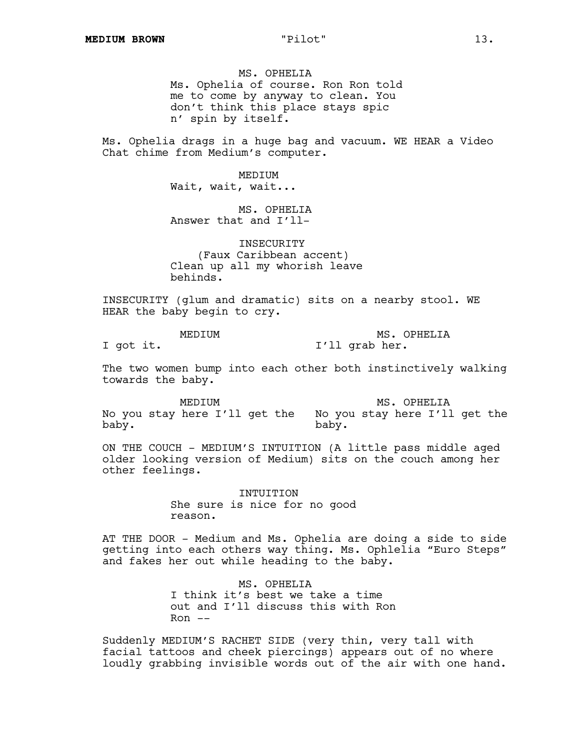MS. OPHELIA Ms. Ophelia of course. Ron Ron told me to come by anyway to clean. You don't think this place stays spic n' spin by itself.

Ms. Ophelia drags in a huge bag and vacuum. WE HEAR a Video Chat chime from Medium's computer.

> MEDIUM Wait, wait, wait...

MS. OPHELIA Answer that and I'll-

INSECURITY (Faux Caribbean accent) Clean up all my whorish leave behinds.

INSECURITY (glum and dramatic) sits on a nearby stool. WE HEAR the baby begin to cry.

MEDIUM I got it. MS. OPHELIA I'll grab her.

The two women bump into each other both instinctively walking towards the baby.

MEDIUM No you stay here I'll get the No you stay here I'll get the baby. MS. OPHELIA baby.

ON THE COUCH - MEDIUM'S INTUITION (A little pass middle aged older looking version of Medium) sits on the couch among her other feelings.

> INTUITION She sure is nice for no good reason.

AT THE DOOR - Medium and Ms. Ophelia are doing a side to side getting into each others way thing. Ms. Ophlelia "Euro Steps" and fakes her out while heading to the baby.

> MS. OPHELIA I think it's best we take a time out and I'll discuss this with Ron  $Ron$   $--$

Suddenly MEDIUM'S RACHET SIDE (very thin, very tall with facial tattoos and cheek piercings) appears out of no where loudly grabbing invisible words out of the air with one hand.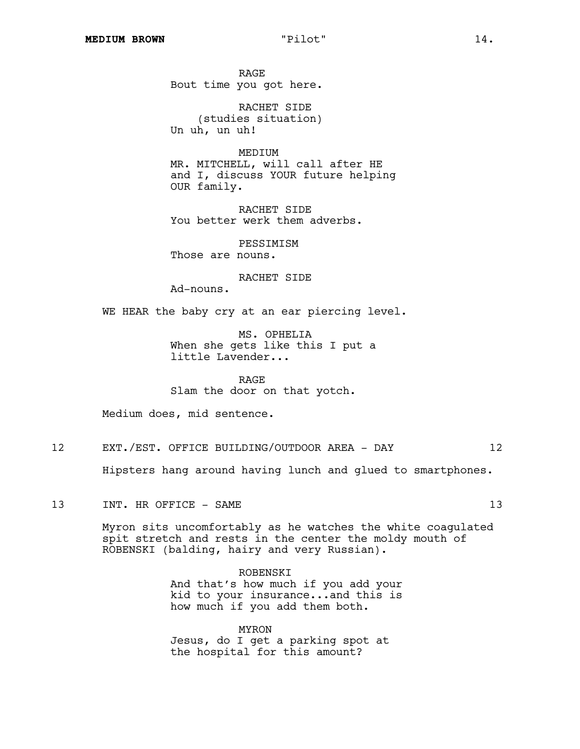RAGE Bout time you got here.

RACHET SIDE (studies situation) Un uh, un uh!

MEDIUM MR. MITCHELL, will call after HE and I, discuss YOUR future helping OUR family.

RACHET SIDE You better werk them adverbs.

PESSIMISM Those are nouns.

RACHET SIDE

Ad-nouns.

WE HEAR the baby cry at an ear piercing level.

MS. OPHELIA When she gets like this I put a little Lavender...

RAGE Slam the door on that yotch.

Medium does, mid sentence.

12 EXT./EST. OFFICE BUILDING/OUTDOOR AREA - DAY 12

Hipsters hang around having lunch and glued to smartphones.

13 INT. HR OFFICE - SAME 13

Myron sits uncomfortably as he watches the white coagulated spit stretch and rests in the center the moldy mouth of ROBENSKI (balding, hairy and very Russian).

ROBENSKI

And that's how much if you add your kid to your insurance...and this is how much if you add them both.

MYRON Jesus, do I get a parking spot at the hospital for this amount?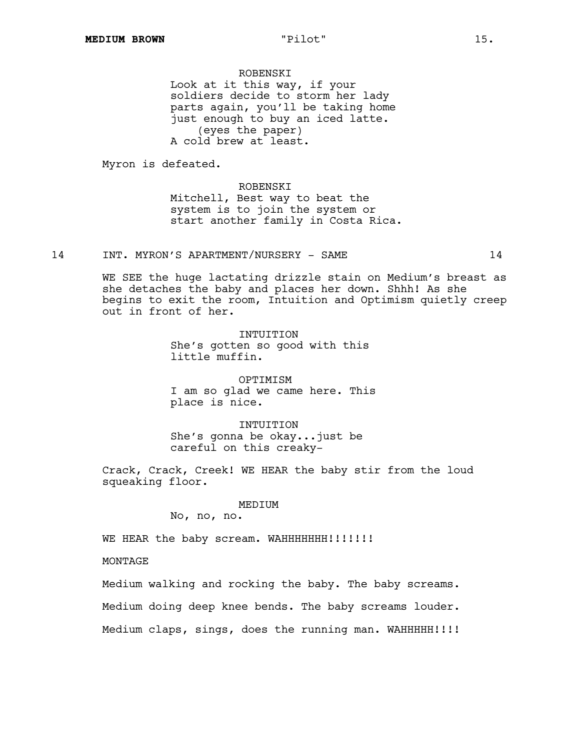ROBENSKI Look at it this way, if your soldiers decide to storm her lady parts again, you'll be taking home just enough to buy an iced latte. (eyes the paper) A cold brew at least.

Myron is defeated.

ROBENSKI Mitchell, Best way to beat the system is to join the system or start another family in Costa Rica.

# 14 INT. MYRON'S APARTMENT/NURSERY - SAME 14

WE SEE the huge lactating drizzle stain on Medium's breast as she detaches the baby and places her down. Shhh! As she begins to exit the room, Intuition and Optimism quietly creep out in front of her.

> INTUITION She's gotten so good with this little muffin.

OPTIMISM I am so glad we came here. This place is nice.

INTUITION She's gonna be okay...just be careful on this creaky-

Crack, Crack, Creek! WE HEAR the baby stir from the loud squeaking floor.

### MEDIUM

No, no, no.

WE HEAR the baby scream. WAHHHHHHH!!!!!!!

MONTAGE

Medium walking and rocking the baby. The baby screams.

Medium doing deep knee bends. The baby screams louder.

Medium claps, sings, does the running man. WAHHHHH!!!!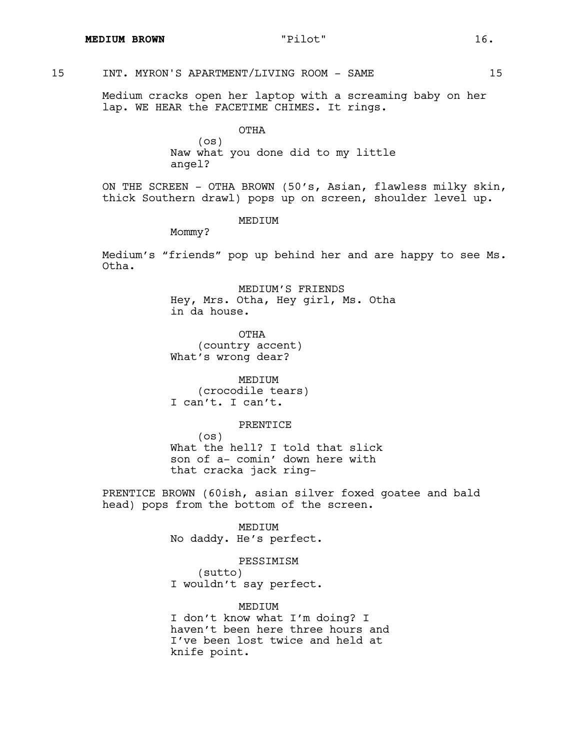# 15 INT. MYRON'S APARTMENT/LIVING ROOM - SAME 15

Medium cracks open her laptop with a screaming baby on her lap. WE HEAR the FACETIME CHIMES. It rings.

> OTHA (os) Naw what you done did to my little angel?

ON THE SCREEN - OTHA BROWN (50's, Asian, flawless milky skin, thick Southern drawl) pops up on screen, shoulder level up.

MEDIUM

Mommy?

Medium's "friends" pop up behind her and are happy to see Ms. Otha.

> MEDIUM'S FRIENDS Hey, Mrs. Otha, Hey girl, Ms. Otha in da house.

OTHA (country accent) What's wrong dear?

MEDIUM (crocodile tears) I can't. I can't.

#### PRENTICE

(os) What the hell? I told that slick son of a- comin' down here with that cracka jack ring-

PRENTICE BROWN (60ish, asian silver foxed goatee and bald head) pops from the bottom of the screen.

#### MEDIUM

No daddy. He's perfect.

### PESSIMISM

(sutto) I wouldn't say perfect.

# MEDIUM

I don't know what I'm doing? I haven't been here three hours and I've been lost twice and held at knife point.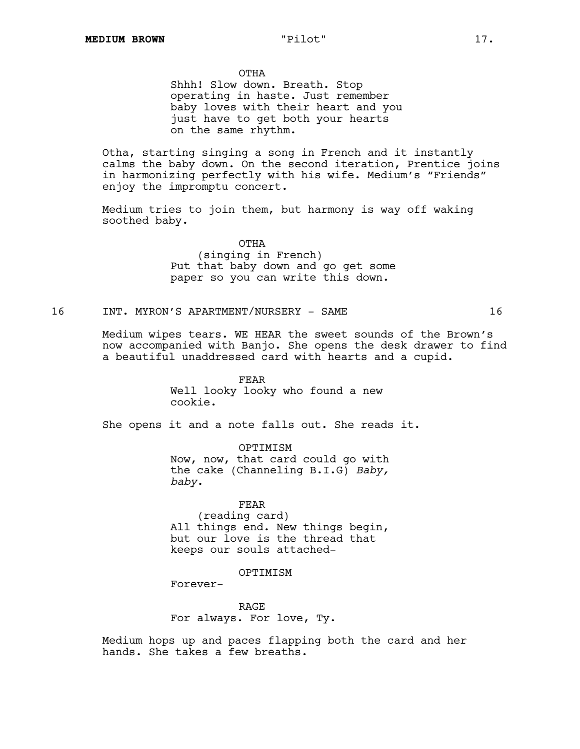OTHA

Shhh! Slow down. Breath. Stop operating in haste. Just remember baby loves with their heart and you just have to get both your hearts on the same rhythm.

Otha, starting singing a song in French and it instantly calms the baby down. On the second iteration, Prentice joins in harmonizing perfectly with his wife. Medium's "Friends" enjoy the impromptu concert.

Medium tries to join them, but harmony is way off waking soothed baby.

> OTHA (singing in French) Put that baby down and go get some paper so you can write this down.

# 16 INT. MYRON'S APARTMENT/NURSERY - SAME 16

Medium wipes tears. WE HEAR the sweet sounds of the Brown's now accompanied with Banjo. She opens the desk drawer to find a beautiful unaddressed card with hearts and a cupid.

> FEAR Well looky looky who found a new cookie.

She opens it and a note falls out. She reads it.

OPTIMISM Now, now, that card could go with the cake (Channeling B.I.G) *Baby, baby*.

FEAR (reading card) All things end. New things begin, but our love is the thread that keeps our souls attached-

### OPTIMISM

Forever-

RAGE For always. For love, Ty.

Medium hops up and paces flapping both the card and her hands. She takes a few breaths.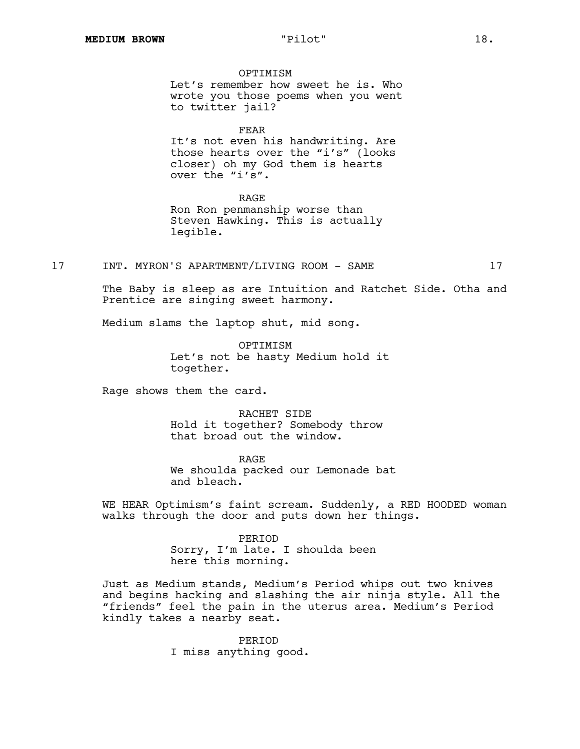**OPTIMISM** Let's remember how sweet he is. Who wrote you those poems when you went to twitter jail?

FEAR It's not even his handwriting. Are

those hearts over the "i's" (looks closer) oh my God them is hearts over the "i's".

RAGE

Ron Ron penmanship worse than Steven Hawking. This is actually legible.

17 INT. MYRON'S APARTMENT/LIVING ROOM - SAME 17

The Baby is sleep as are Intuition and Ratchet Side. Otha and Prentice are singing sweet harmony.

Medium slams the laptop shut, mid song.

**OPTIMISM** Let's not be hasty Medium hold it together.

Rage shows them the card.

RACHET SIDE Hold it together? Somebody throw that broad out the window.

RAGE We shoulda packed our Lemonade bat and bleach.

WE HEAR Optimism's faint scream. Suddenly, a RED HOODED woman walks through the door and puts down her things.

> PERIOD Sorry, I'm late. I shoulda been here this morning.

Just as Medium stands, Medium's Period whips out two knives and begins hacking and slashing the air ninja style. All the "friends" feel the pain in the uterus area. Medium's Period kindly takes a nearby seat.

> PERIOD I miss anything good.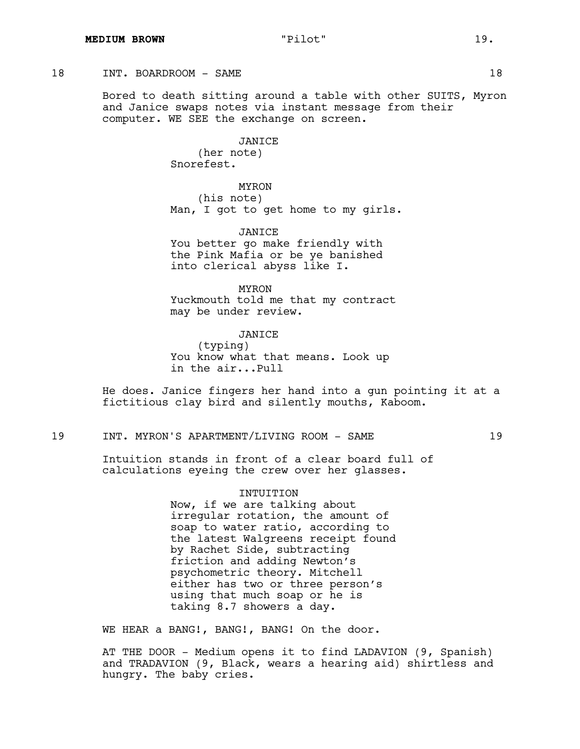# 18 INT. BOARDROOM – SAME 18

Bored to death sitting around a table with other SUITS, Myron and Janice swaps notes via instant message from their computer. WE SEE the exchange on screen.

> JANICE (her note) Snorefest.

MYRON (his note) Man, I got to get home to my girls.

JANICE You better go make friendly with the Pink Mafia or be ye banished into clerical abyss like I.

MYRON Yuckmouth told me that my contract may be under review.

JANICE (typing)

You know what that means. Look up in the air...Pull

He does. Janice fingers her hand into a gun pointing it at a fictitious clay bird and silently mouths, Kaboom.

19 INT. MYRON'S APARTMENT/LIVING ROOM - SAME 19

Intuition stands in front of a clear board full of calculations eyeing the crew over her glasses.

> INTUITION Now, if we are talking about irregular rotation, the amount of soap to water ratio, according to the latest Walgreens receipt found by Rachet Side, subtracting friction and adding Newton's psychometric theory. Mitchell either has two or three person's using that much soap or he is taking 8.7 showers a day.

WE HEAR a BANG!, BANG!, BANG! On the door.

AT THE DOOR - Medium opens it to find LADAVION (9, Spanish) and TRADAVION (9, Black, wears a hearing aid) shirtless and hungry. The baby cries.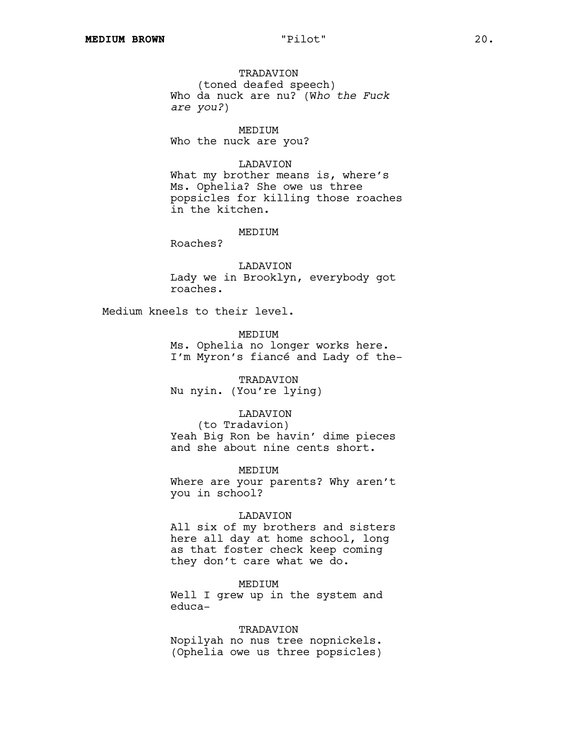TRADAVION (toned deafed speech) Who da nuck are nu? (W*ho the Fuck are you?*)

MEDIUM Who the nuck are you?

# LADAVION

What my brother means is, where's Ms. Ophelia? She owe us three popsicles for killing those roaches in the kitchen.

### MEDIUM

Roaches?

LADAVION Lady we in Brooklyn, everybody got roaches.

Medium kneels to their level.

MEDIUM Ms. Ophelia no longer works here. I'm Myron's fiancé and Lady of the-

TRADAVION Nu nyin. (You're lying)

#### LADAVION

(to Tradavion) Yeah Big Ron be havin' dime pieces and she about nine cents short.

MEDIUM

Where are your parents? Why aren't you in school?

### LADAVION

All six of my brothers and sisters here all day at home school, long as that foster check keep coming they don't care what we do.

MEDIUM

Well I grew up in the system and educa-

# TRADAVION

Nopilyah no nus tree nopnickels. (Ophelia owe us three popsicles)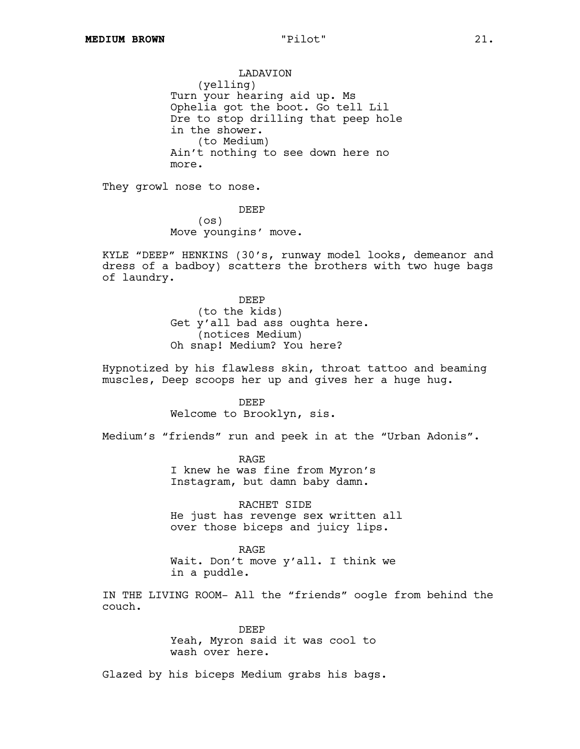# LADAVION (yelling) Turn your hearing aid up. Ms Ophelia got the boot. Go tell Lil Dre to stop drilling that peep hole in the shower. (to Medium) Ain't nothing to see down here no more.

They growl nose to nose.

DEEP (os) Move youngins' move.

KYLE "DEEP" HENKINS (30's, runway model looks, demeanor and dress of a badboy) scatters the brothers with two huge bags of laundry.

> DEEP (to the kids) Get y'all bad ass oughta here. (notices Medium) Oh snap! Medium? You here?

Hypnotized by his flawless skin, throat tattoo and beaming muscles, Deep scoops her up and gives her a huge hug.

> DEEP Welcome to Brooklyn, sis.

Medium's "friends" run and peek in at the "Urban Adonis".

RAGE I knew he was fine from Myron's Instagram, but damn baby damn.

RACHET SIDE He just has revenge sex written all over those biceps and juicy lips.

RAGE Wait. Don't move y'all. I think we in a puddle.

IN THE LIVING ROOM- All the "friends" oogle from behind the couch.

> DEEP Yeah, Myron said it was cool to wash over here.

Glazed by his biceps Medium grabs his bags.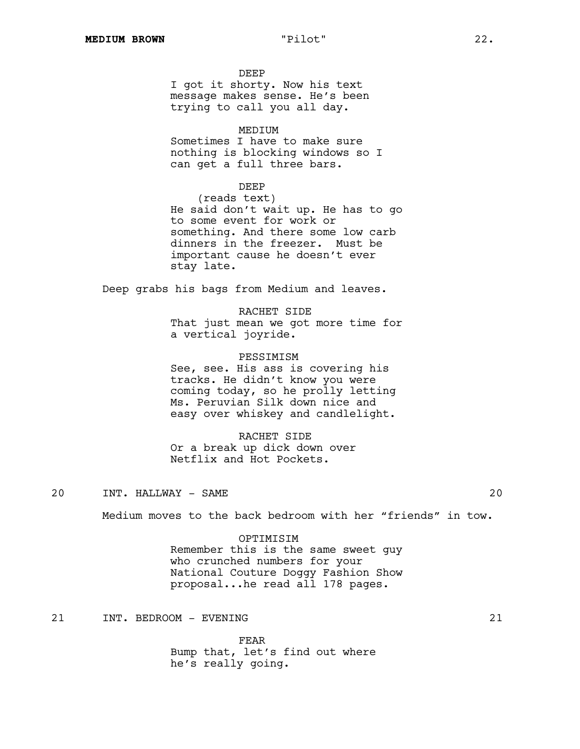DEEP I got it shorty. Now his text message makes sense. He's been trying to call you all day.

# MEDIUM

Sometimes I have to make sure nothing is blocking windows so I can get a full three bars.

# DEEP

(reads text) He said don't wait up. He has to go to some event for work or something. And there some low carb dinners in the freezer. Must be important cause he doesn't ever stay late.

Deep grabs his bags from Medium and leaves.

RACHET SIDE That just mean we got more time for a vertical joyride.

#### PESSIMISM

See, see. His ass is covering his tracks. He didn't know you were coming today, so he prolly letting Ms. Peruvian Silk down nice and easy over whiskey and candlelight.

# RACHET SIDE

Or a break up dick down over Netflix and Hot Pockets.

20 INT. HALLWAY - SAME 20

Medium moves to the back bedroom with her "friends" in tow.

### OPTIMISIM

Remember this is the same sweet guy who crunched numbers for your National Couture Doggy Fashion Show proposal...he read all 178 pages.

21 INT. BEDROOM - EVENING 21

FEAR Bump that, let's find out where he's really going.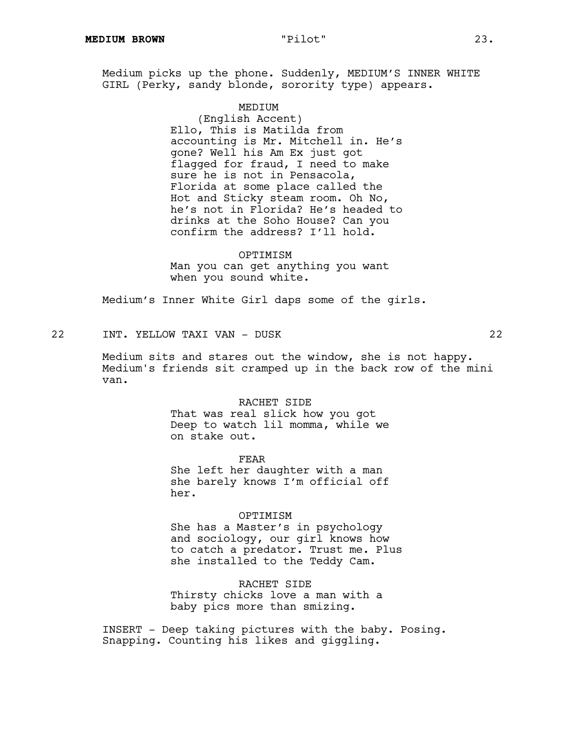Medium picks up the phone. Suddenly, MEDIUM'S INNER WHITE GIRL (Perky, sandy blonde, sorority type) appears.

#### MEDIUM

(English Accent) Ello, This is Matilda from accounting is Mr. Mitchell in. He's gone? Well his Am Ex just got flagged for fraud, I need to make sure he is not in Pensacola, Florida at some place called the Hot and Sticky steam room. Oh No, he's not in Florida? He's headed to drinks at the Soho House? Can you confirm the address? I'll hold.

OPTIMISM Man you can get anything you want when you sound white.

Medium's Inner White Girl daps some of the girls.

22 INT. YELLOW TAXI VAN - DUSK 22

Medium sits and stares out the window, she is not happy. Medium's friends sit cramped up in the back row of the mini van.

RACHET SIDE

That was real slick how you got Deep to watch lil momma, while we on stake out.

FEAR She left her daughter with a man she barely knows I'm official off her.

OPTIMISM She has a Master's in psychology and sociology, our girl knows how to catch a predator. Trust me. Plus she installed to the Teddy Cam.

RACHET SIDE Thirsty chicks love a man with a baby pics more than smizing.

INSERT - Deep taking pictures with the baby. Posing. Snapping. Counting his likes and giggling.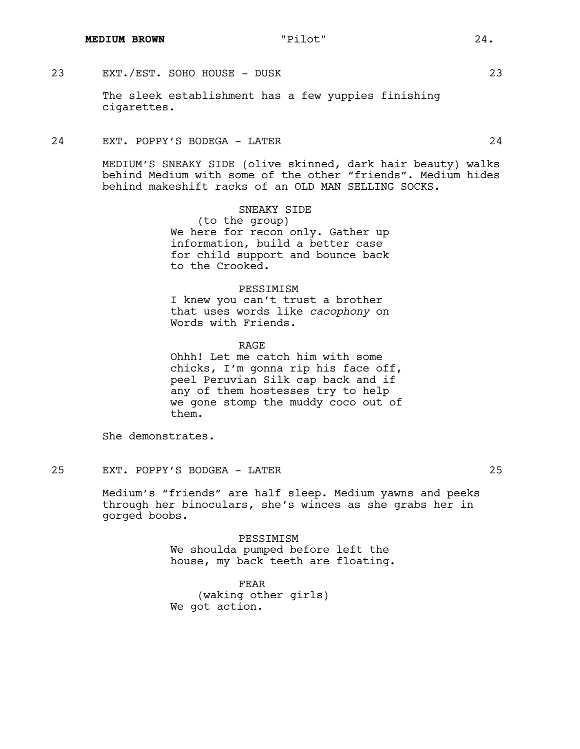# 23 EXT./EST. SOHO HOUSE - DUSK 23

The sleek establishment has a few yuppies finishing cigarettes.

# 24 EXT. POPPY'S BODEGA - LATER 24

MEDIUM'S SNEAKY SIDE (olive skinned, dark hair beauty) walks behind Medium with some of the other "friends". Medium hides behind makeshift racks of an OLD MAN SELLING SOCKS.

> SNEAKY SIDE (to the group) We here for recon only. Gather up information, build a better case for child support and bounce back to the Crooked.

# PESSIMISM

I knew you can't trust a brother that uses words like *cacophony* on Words with Friends.

RAGE

Ohhh! Let me catch him with some chicks, I'm gonna rip his face off, peel Peruvian Silk cap back and if any of them hostesses try to help we gone stomp the muddy coco out of them.

She demonstrates.

# 25 EXT. POPPY'S BODGEA - LATER 25

Medium's "friends" are half sleep. Medium yawns and peeks through her binoculars, she's winces as she grabs her in gorged boobs.

> PESSIMISM We shoulda pumped before left the house, my back teeth are floating.

FEAR (waking other girls) We got action.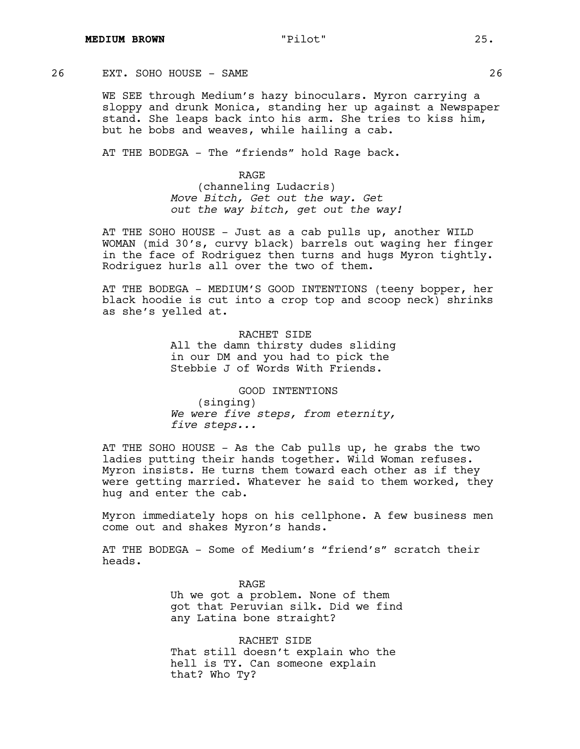# 26 EXT. SOHO HOUSE - SAME 26

WE SEE through Medium's hazy binoculars. Myron carrying a sloppy and drunk Monica, standing her up against a Newspaper stand. She leaps back into his arm. She tries to kiss him, but he bobs and weaves, while hailing a cab.

AT THE BODEGA - The "friends" hold Rage back.

RAGE (channeling Ludacris) *Move Bitch, Get out the way. Get out the way bitch, get out the way!*

AT THE SOHO HOUSE - Just as a cab pulls up, another WILD WOMAN (mid 30's, curvy black) barrels out waging her finger in the face of Rodriguez then turns and hugs Myron tightly. Rodriguez hurls all over the two of them.

AT THE BODEGA - MEDIUM'S GOOD INTENTIONS (teeny bopper, her black hoodie is cut into a crop top and scoop neck) shrinks as she's yelled at.

> RACHET SIDE All the damn thirsty dudes sliding in our DM and you had to pick the Stebbie J of Words With Friends.

GOOD INTENTIONS (singing) *We were five steps, from eternity, five steps...*

AT THE SOHO HOUSE - As the Cab pulls up, he grabs the two ladies putting their hands together. Wild Woman refuses. Myron insists. He turns them toward each other as if they were getting married. Whatever he said to them worked, they hug and enter the cab.

Myron immediately hops on his cellphone. A few business men come out and shakes Myron's hands.

AT THE BODEGA - Some of Medium's "friend's" scratch their heads.

> RAGE Uh we got a problem. None of them got that Peruvian silk. Did we find any Latina bone straight?

RACHET SIDE That still doesn't explain who the hell is TY. Can someone explain that? Who Ty?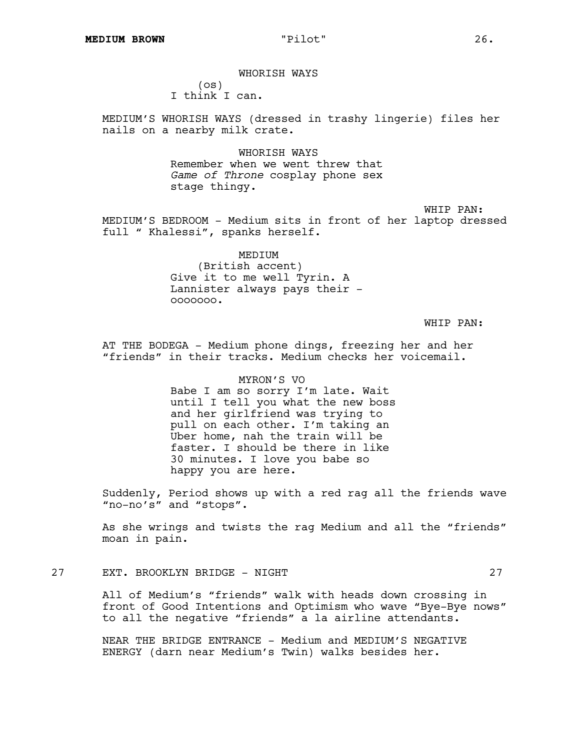WHORISH WAYS (os) I think I can.

MEDIUM'S WHORISH WAYS (dressed in trashy lingerie) files her nails on a nearby milk crate.

> WHORISH WAYS Remember when we went threw that *Game of Throne* cosplay phone sex stage thingy.

WHIP PAN: MEDIUM'S BEDROOM - Medium sits in front of her laptop dressed full " Khalessi", spanks herself.

> MEDIUM (British accent) Give it to me well Tyrin. A Lannister always pays their ooooooo.

> > WHIP PAN:

AT THE BODEGA - Medium phone dings, freezing her and her "friends" in their tracks. Medium checks her voicemail.

> MYRON'S VO Babe I am so sorry I'm late. Wait until I tell you what the new boss and her girlfriend was trying to pull on each other. I'm taking an Uber home, nah the train will be faster. I should be there in like 30 minutes. I love you babe so happy you are here.

Suddenly, Period shows up with a red rag all the friends wave "no-no's" and "stops".

As she wrings and twists the rag Medium and all the "friends" moan in pain.

# 27 EXT. BROOKLYN BRIDGE - NIGHT 27

All of Medium's "friends" walk with heads down crossing in front of Good Intentions and Optimism who wave "Bye-Bye nows" to all the negative "friends" a la airline attendants.

NEAR THE BRIDGE ENTRANCE - Medium and MEDIUM'S NEGATIVE ENERGY (darn near Medium's Twin) walks besides her.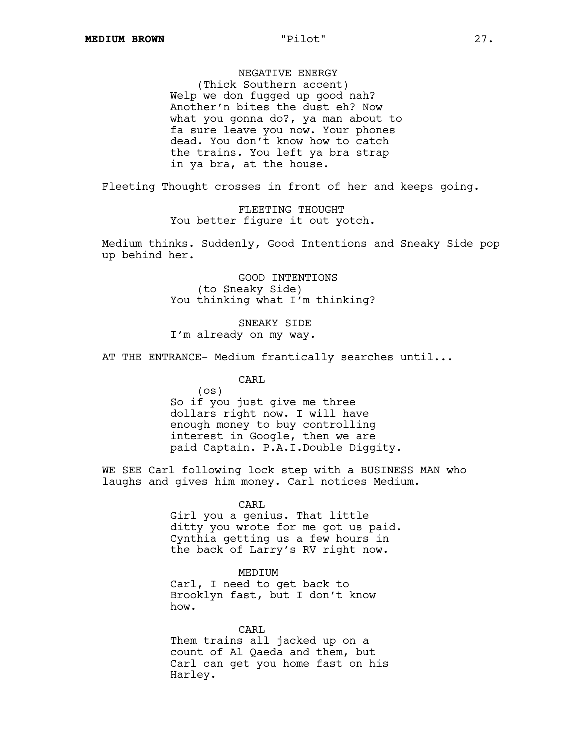NEGATIVE ENERGY

(Thick Southern accent) Welp we don fugged up good nah? Another'n bites the dust eh? Now what you gonna do?, ya man about to fa sure leave you now. Your phones dead. You don't know how to catch the trains. You left ya bra strap in ya bra, at the house.

Fleeting Thought crosses in front of her and keeps going.

FLEETING THOUGHT You better figure it out yotch.

Medium thinks. Suddenly, Good Intentions and Sneaky Side pop up behind her.

> GOOD INTENTIONS (to Sneaky Side) You thinking what I'm thinking?

SNEAKY SIDE I'm already on my way.

AT THE ENTRANCE- Medium frantically searches until...

CARL

(os) So if you just give me three dollars right now. I will have enough money to buy controlling interest in Google, then we are paid Captain. P.A.I.Double Diggity.

WE SEE Carl following lock step with a BUSINESS MAN who laughs and gives him money. Carl notices Medium.

> CARL Girl you a genius. That little ditty you wrote for me got us paid. Cynthia getting us a few hours in the back of Larry's RV right now.

MEDIUM Carl, I need to get back to Brooklyn fast, but I don't know how.

CARL Them trains all jacked up on a count of Al Qaeda and them, but Carl can get you home fast on his Harley.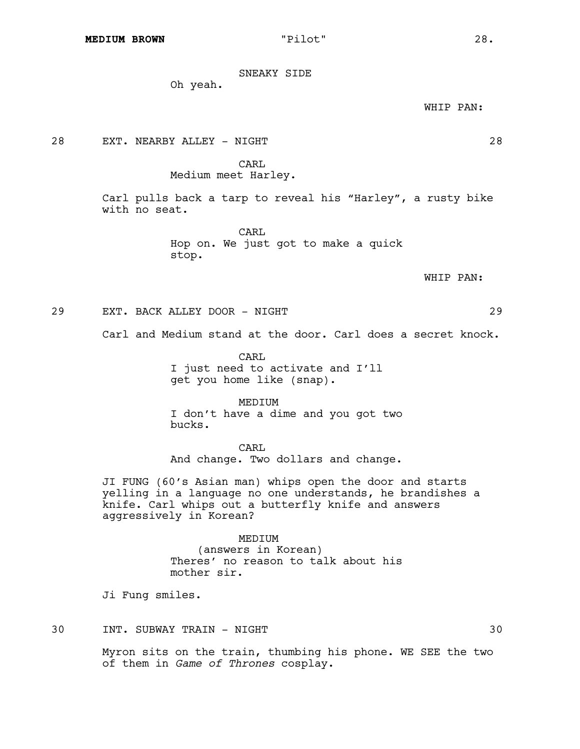SNEAKY SIDE

Oh yeah.

WHIP PAN:

28 EXT. NEARBY ALLEY - NIGHT 28

CARL

Medium meet Harley.

Carl pulls back a tarp to reveal his "Harley", a rusty bike with no seat.

> CARL Hop on. We just got to make a quick stop.

> > WHIP PAN:

29 EXT. BACK ALLEY DOOR - NIGHT 29

Carl and Medium stand at the door. Carl does a secret knock.

CARL I just need to activate and I'll get you home like (snap).

MEDIUM I don't have a dime and you got two bucks.

CARL And change. Two dollars and change.

JI FUNG (60's Asian man) whips open the door and starts yelling in a language no one understands, he brandishes a knife. Carl whips out a butterfly knife and answers aggressively in Korean?

> MEDIUM (answers in Korean) Theres' no reason to talk about his mother sir.

Ji Fung smiles.

30 INT. SUBWAY TRAIN - NIGHT 30

Myron sits on the train, thumbing his phone. WE SEE the two of them in *Game of Thrones* cosplay.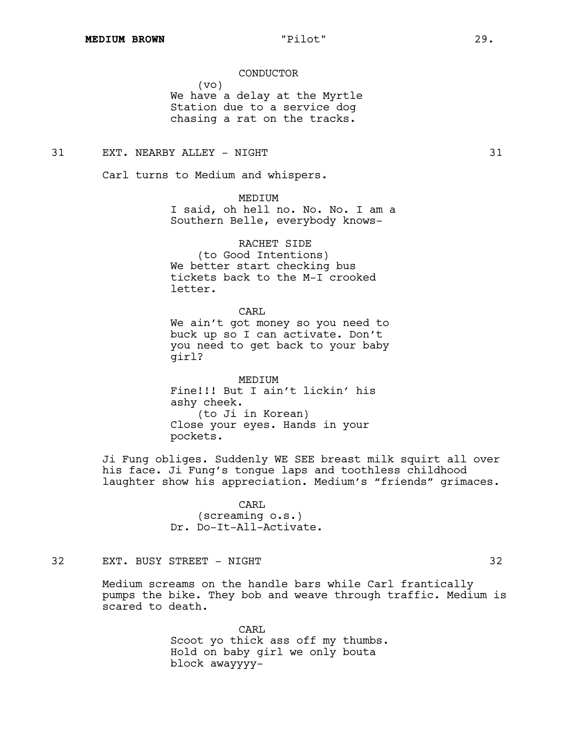CONDUCTOR

(vo) We have a delay at the Myrtle Station due to a service dog chasing a rat on the tracks.

# 31 EXT. NEARBY ALLEY - NIGHT 31

Carl turns to Medium and whispers.

MEDIUM I said, oh hell no. No. No. I am a Southern Belle, everybody knows-

RACHET SIDE (to Good Intentions) We better start checking bus tickets back to the M-I crooked letter.

CARL We ain't got money so you need to buck up so I can activate. Don't you need to get back to your baby girl?

MEDIUM Fine!!! But I ain't lickin' his ashy cheek. (to Ji in Korean) Close your eyes. Hands in your pockets.

Ji Fung obliges. Suddenly WE SEE breast milk squirt all over his face. Ji Fung's tongue laps and toothless childhood laughter show his appreciation. Medium's "friends" grimaces.

> CARL (screaming o.s.) Dr. Do-It-All-Activate.

# 32 EXT. BUSY STREET - NIGHT 32

Medium screams on the handle bars while Carl frantically pumps the bike. They bob and weave through traffic. Medium is scared to death.

> CARL Scoot yo thick ass off my thumbs. Hold on baby girl we only bouta block awayyyy-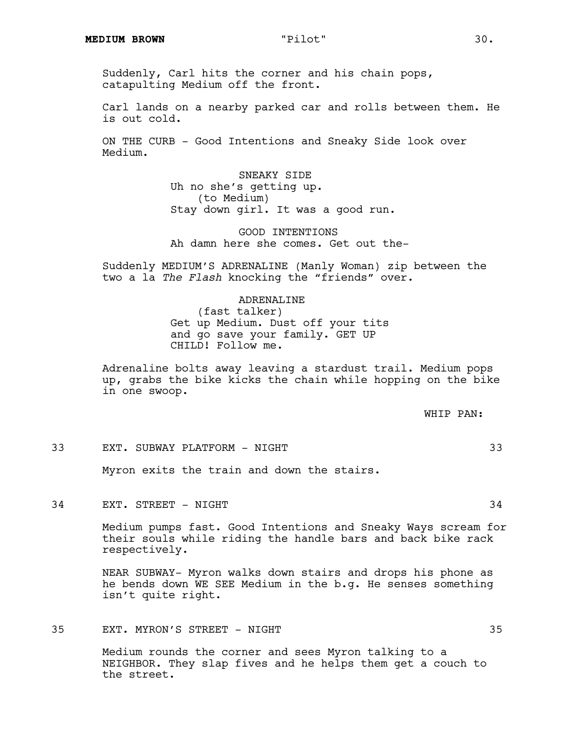Suddenly, Carl hits the corner and his chain pops, catapulting Medium off the front.

Carl lands on a nearby parked car and rolls between them. He is out cold.

ON THE CURB - Good Intentions and Sneaky Side look over Medium.

> SNEAKY SIDE Uh no she's getting up. (to Medium) Stay down girl. It was a good run.

GOOD INTENTIONS Ah damn here she comes. Get out the-

Suddenly MEDIUM'S ADRENALINE (Manly Woman) zip between the two a la *The Flash* knocking the "friends" over.

# ADRENALINE

(fast talker) Get up Medium. Dust off your tits and go save your family. GET UP CHILD! Follow me.

Adrenaline bolts away leaving a stardust trail. Medium pops up, grabs the bike kicks the chain while hopping on the bike in one swoop.

WHIP PAN:

# 33 EXT. SUBWAY PLATFORM - NIGHT 33

Myron exits the train and down the stairs.

# 34 EXT. STREET - NIGHT 34

Medium pumps fast. Good Intentions and Sneaky Ways scream for their souls while riding the handle bars and back bike rack respectively.

NEAR SUBWAY- Myron walks down stairs and drops his phone as he bends down WE SEE Medium in the b.g. He senses something isn't quite right.

# 35 EXT. MYRON'S STREET - NIGHT 35

Medium rounds the corner and sees Myron talking to a NEIGHBOR. They slap fives and he helps them get a couch to the street.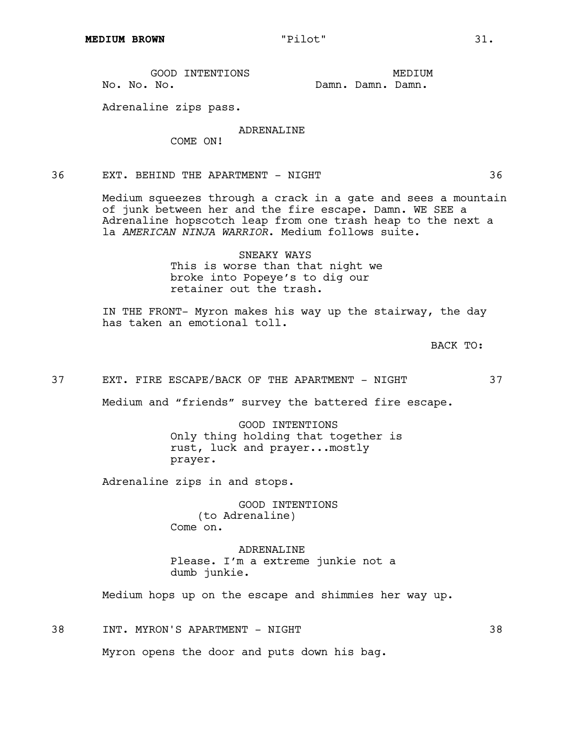|             | GOOD INTENTIONS |  |                   | MEDTUM |
|-------------|-----------------|--|-------------------|--------|
| No. No. No. |                 |  | Damn, Damn, Damn, |        |

Adrenaline zips pass.

# ADRENALINE

COME ON!

36 EXT. BEHIND THE APARTMENT - NIGHT 36

Medium squeezes through a crack in a gate and sees a mountain of junk between her and the fire escape. Damn. WE SEE a Adrenaline hopscotch leap from one trash heap to the next a la *AMERICAN NINJA WARRIOR*. Medium follows suite.

> SNEAKY WAYS This is worse than that night we broke into Popeye's to dig our retainer out the trash.

IN THE FRONT- Myron makes his way up the stairway, the day has taken an emotional toll.

BACK TO:

# 37 EXT. FIRE ESCAPE/BACK OF THE APARTMENT - NIGHT 37

Medium and "friends" survey the battered fire escape.

GOOD INTENTIONS Only thing holding that together is rust, luck and prayer...mostly prayer.

Adrenaline zips in and stops.

GOOD INTENTIONS (to Adrenaline) Come on.

ADRENALINE Please. I'm a extreme junkie not a dumb junkie.

Medium hops up on the escape and shimmies her way up.

38 INT. MYRON'S APARTMENT - NIGHT 38

Myron opens the door and puts down his bag.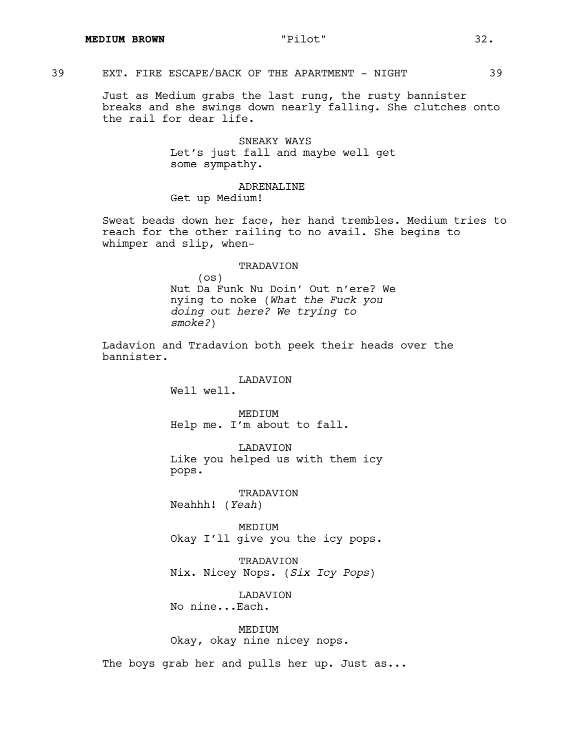# 39 EXT. FIRE ESCAPE/BACK OF THE APARTMENT - NIGHT 39

Just as Medium grabs the last rung, the rusty bannister breaks and she swings down nearly falling. She clutches onto the rail for dear life.

> SNEAKY WAYS Let's just fall and maybe well get some sympathy.

# ADRENALINE Get up Medium!

Sweat beads down her face, her hand trembles. Medium tries to reach for the other railing to no avail. She begins to whimper and slip, when-

# TRADAVION

(os) Nut Da Funk Nu Doin' Out n'ere? We nying to noke (*What the Fuck you doing out here? We trying to smoke?*)

Ladavion and Tradavion both peek their heads over the bannister.

# LADAVION

Well well.

MEDIUM Help me. I'm about to fall.

LADAVION Like you helped us with them icy pops.

TRADAVION Neahhh! (*Yeah*)

MEDIUM Okay I'll give you the icy pops.

TRADAVION Nix. Nicey Nops. (*Six Icy Pops*)

LADAVION

No nine...Each.

# MEDIUM

Okay, okay nine nicey nops.

The boys grab her and pulls her up. Just as...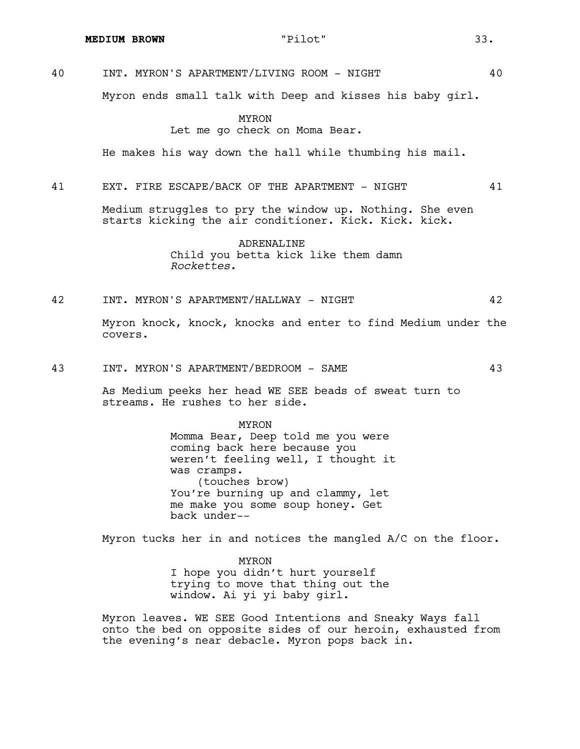40 INT. MYRON'S APARTMENT/LIVING ROOM - NIGHT 40

Myron ends small talk with Deep and kisses his baby girl.

# MYRON Let me go check on Moma Bear.

He makes his way down the hall while thumbing his mail.

# 41 EXT. FIRE ESCAPE/BACK OF THE APARTMENT - NIGHT 41

Medium struggles to pry the window up. Nothing. She even starts kicking the air conditioner. Kick. Kick. kick.

> ADRENALINE Child you betta kick like them damn *Rockettes*.

#### 42 INT. MYRON'S APARTMENT/HALLWAY - NIGHT 42

Myron knock, knock, knocks and enter to find Medium under the covers.

43 INT. MYRON'S APARTMENT/BEDROOM - SAME 43

As Medium peeks her head WE SEE beads of sweat turn to streams. He rushes to her side.

> MYRON Momma Bear, Deep told me you were coming back here because you weren't feeling well, I thought it was cramps. (touches brow) You're burning up and clammy, let me make you some soup honey. Get back under--

Myron tucks her in and notices the mangled A/C on the floor.

MYRON I hope you didn't hurt yourself trying to move that thing out the window. Ai yi yi baby girl.

Myron leaves. WE SEE Good Intentions and Sneaky Ways fall onto the bed on opposite sides of our heroin, exhausted from the evening's near debacle. Myron pops back in.